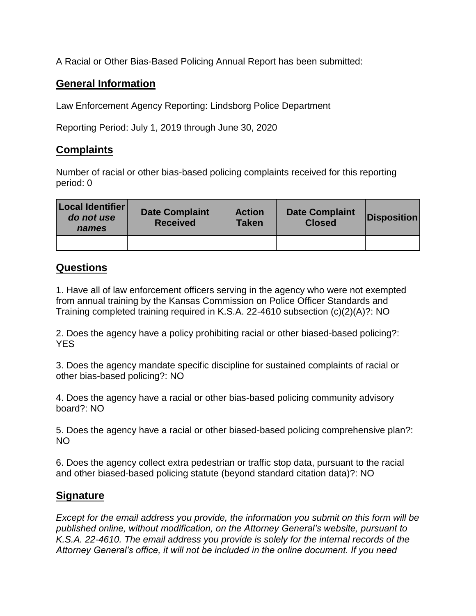A Racial or Other Bias-Based Policing Annual Report has been submitted:

## **General Information**

Law Enforcement Agency Reporting: Lindsborg Police Department

Reporting Period: July 1, 2019 through June 30, 2020

## **Complaints**

Number of racial or other bias-based policing complaints received for this reporting period: 0

| Local Identifier<br>do not use<br>names | <b>Date Complaint</b><br><b>Received</b> | <b>Action</b><br><b>Taken</b> | <b>Date Complaint</b><br><b>Closed</b> | <b>Disposition</b> |
|-----------------------------------------|------------------------------------------|-------------------------------|----------------------------------------|--------------------|
|                                         |                                          |                               |                                        |                    |

## **Questions**

1. Have all of law enforcement officers serving in the agency who were not exempted from annual training by the Kansas Commission on Police Officer Standards and Training completed training required in K.S.A. 22-4610 subsection (c)(2)(A)?: NO

2. Does the agency have a policy prohibiting racial or other biased-based policing?: YES

3. Does the agency mandate specific discipline for sustained complaints of racial or other bias-based policing?: NO

4. Does the agency have a racial or other bias-based policing community advisory board?: NO

5. Does the agency have a racial or other biased-based policing comprehensive plan?: NO

6. Does the agency collect extra pedestrian or traffic stop data, pursuant to the racial and other biased-based policing statute (beyond standard citation data)?: NO

## **Signature**

*Except for the email address you provide, the information you submit on this form will be published online, without modification, on the Attorney General's website, pursuant to K.S.A. 22-4610. The email address you provide is solely for the internal records of the Attorney General's office, it will not be included in the online document. If you need*